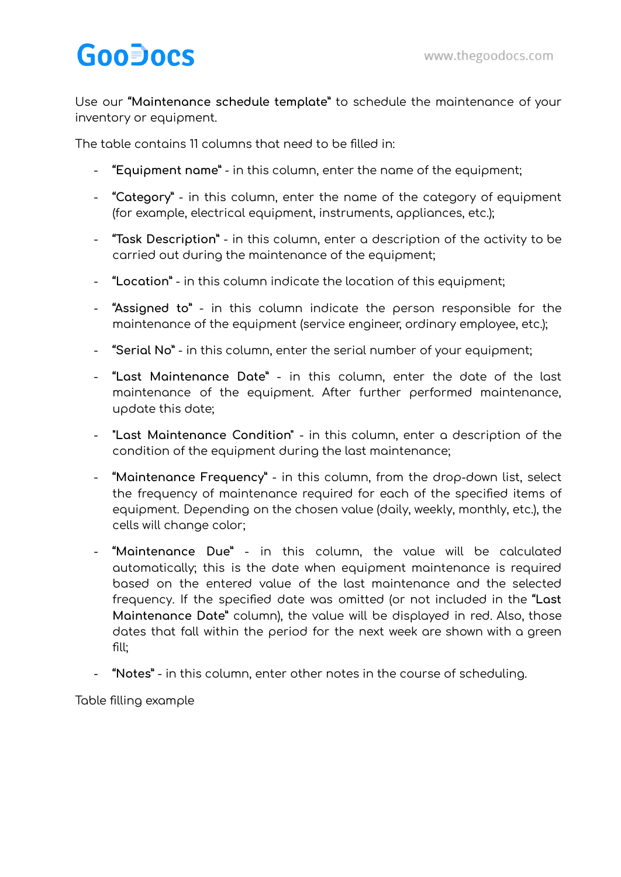## **GooDocs**

Use our **"Maintenance schedule template"** to schedule the maintenance of your inventory or equipment.

The table contains 11 columns that need to be filled in:

- **"Equipment name"** in this column, enter the name of the equipment;
- **"Category"** in this column, enter the name of the category of equipment (for example, electrical equipment, instruments, appliances, etc.);
- **"Task Description"** in this column, enter a description of the activity to be carried out during the maintenance of the equipment;
- **"Location"** in this column indicate the location of this equipment;
- **"Assigned to"** in this column indicate the person responsible for the maintenance of the equipment (service engineer, ordinary employee, etc.);
- **"Serial No"** in this column, enter the serial number of your equipment;
- **"Last Maintenance Date"** in this column, enter the date of the last maintenance of the equipment. After further performed maintenance, update this date;
- **"Last Maintenance Condition"** in this column, enter a description of the condition of the equipment during the last maintenance;
- **"Maintenance Frequency"** in this column, from the drop-down list, select the frequency of maintenance required for each of the specified items of equipment. Depending on the chosen value (daily, weekly, monthly, etc.), the cells will change color;
- **"Maintenance Due"** in this column, the value will be calculated automatically; this is the date when equipment maintenance is required based on the entered value of the last maintenance and the selected frequency. If the specified date was omitted (or not included in the **"Last Maintenance Date"** column), the value will be displayed in red. Also, those dates that fall within the period for the next week are shown with a green fill;
- **"Notes"** in this column, enter other notes in the course of scheduling.

Table filling example